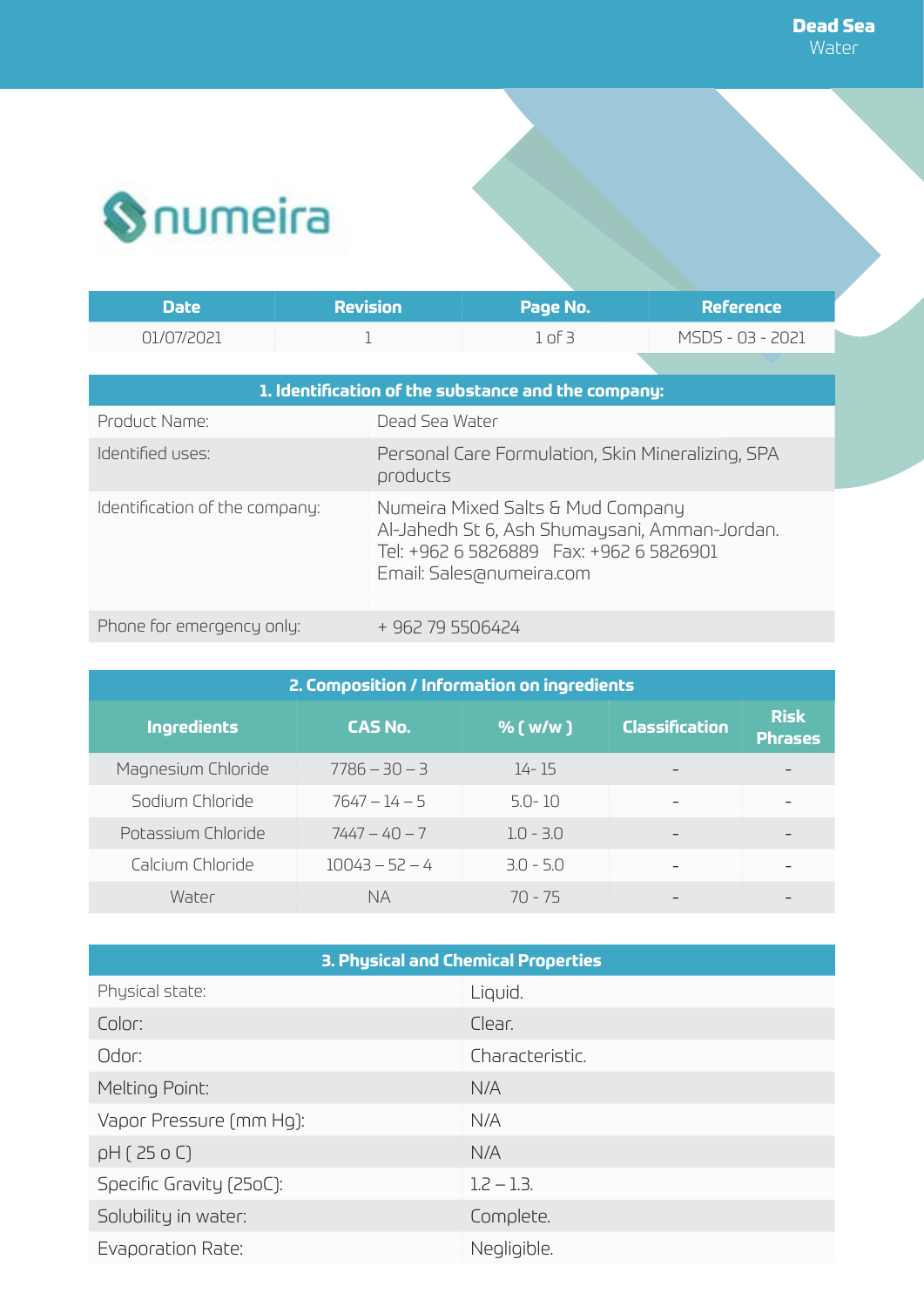

| Date'      | <b>Revision</b> | Page No. | <b>Reference</b> |
|------------|-----------------|----------|------------------|
| N1/N7/2N21 |                 | of E     | MSDS - 03 - 2021 |

| 1. Identification of the substance and the company: |                                                                                                                |  |
|-----------------------------------------------------|----------------------------------------------------------------------------------------------------------------|--|
| Product Name:                                       | Dead Sea Water                                                                                                 |  |
| Identified uses:                                    | Personal Care Formulation, Skin Mineralizing, SPA<br>products                                                  |  |
| Identification of the company:                      | Numeira Mixed Salts & Mud Company<br>Al-Jahedh St 6, Ash Shumaysani, Amman-Jordan.<br>Email: Sales@numeira.com |  |
| Phone for emergency only:                           | + 962 79 5506424                                                                                               |  |

| 2. Composition / Information on ingredients |                  |             |                |                               |
|---------------------------------------------|------------------|-------------|----------------|-------------------------------|
| Ingredients                                 | <b>CAS No.</b>   | % $(w/w)$   | Classification | <b>Risk</b><br><b>Phrases</b> |
| Magnesium Chloride                          | $7786 - 30 - 3$  | 14-15       |                |                               |
| Sodium Chloride                             | $7647 - 14 - 5$  | $5.0 - 10$  |                |                               |
| Potassium Chloride                          | $7447 - 40 - 7$  | $1.0 - 3.0$ |                |                               |
| Calcium Chloride                            | $10043 - 52 - 4$ | $3.0 - 5.0$ |                |                               |
| Water                                       | <b>NA</b>        | $70 - 75$   |                |                               |

| 3. Physical and Chemical Properties |                 |  |  |
|-------------------------------------|-----------------|--|--|
| Physical state:                     | Liquid.         |  |  |
| Color:                              | Clear.          |  |  |
| Odor:                               | Characteristic. |  |  |
| Melting Point:                      | N/A             |  |  |
| Vapor Pressure (mm Hg):             | N/A             |  |  |
| pH(250C)                            | N/A             |  |  |
| Specific Gravity (25oC):            | $1.2 - 1.3.$    |  |  |
| Solubility in water:                | Complete.       |  |  |
| Evaporation Rate:                   | Negligible.     |  |  |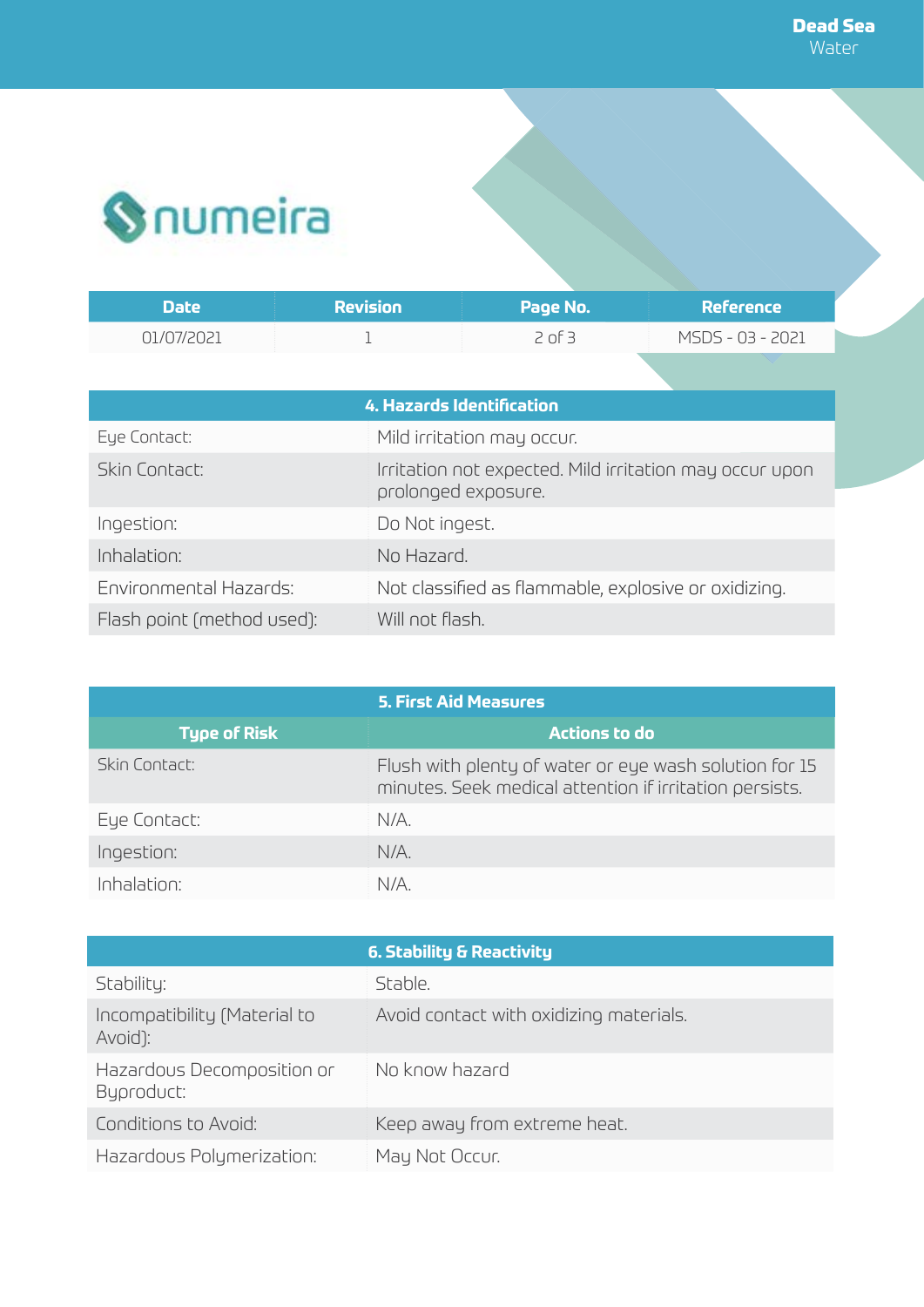

| Date       | $\sf Revision$ | Page No. | Reference        |
|------------|----------------|----------|------------------|
| N1/N7/2021 |                | 2 of 3   | MSDS - 03 - 2021 |

| <b>4. Hazards Identification</b> |                                                                                |  |  |
|----------------------------------|--------------------------------------------------------------------------------|--|--|
| Eye Contact:                     | Mild irritation may occur.                                                     |  |  |
| Skin Contact:                    | Irritation not expected. Mild irritation may occur upon<br>prolonged exposure. |  |  |
| Ingestion:                       | Do Not ingest.                                                                 |  |  |
| Inhalation:                      | No Hazard.                                                                     |  |  |
| Environmental Hazards:           | Not classified as flammable, explosive or oxidizing.                           |  |  |
| Flash point (method used):       | Will not flash.                                                                |  |  |

| <b>5. First Aid Measures</b> |                                                                                                                   |  |
|------------------------------|-------------------------------------------------------------------------------------------------------------------|--|
| <b>Type of Risk</b>          | Actions to do                                                                                                     |  |
| Skin Contact:                | Flush with plenty of water or eye wash solution for 15<br>minutes. Seek medical attention if irritation persists. |  |
| Eye Contact:                 | N/A.                                                                                                              |  |
| Ingestion:                   | $N/A$ .                                                                                                           |  |
| Inhalation:                  | N/A                                                                                                               |  |

|                                          | 6. Stability & Reactivity               |
|------------------------------------------|-----------------------------------------|
| Stability:                               | Stable.                                 |
| Incompatibility (Material to<br>Avoid):  | Avoid contact with oxidizing materials. |
| Hazardous Decomposition or<br>Byproduct: | No know hazard                          |
| Conditions to Avoid:                     | Keep away from extreme heat.            |
| Hazardous Polymerization:                | May Not Occur.                          |